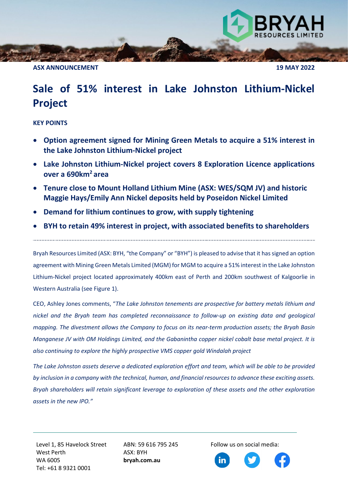**ASX ANNOUNCEMENT 19 MAY 2022**

## **Sale of 51% interest in Lake Johnston Lithium-Nickel Project**

## **KEY POINTS**

- **Option agreement signed for Mining Green Metals to acquire a 51% interest in the Lake Johnston Lithium-Nickel project**
- **Lake Johnston Lithium-Nickel project covers 8 Exploration Licence applications over a 690km2 area**
- **Tenure close to Mount Holland Lithium Mine (ASX: WES/SQM JV) and historic Maggie Hays/Emily Ann Nickel deposits held by Poseidon Nickel Limited**
- **Demand for lithium continues to grow, with supply tightening**
- **BYH to retain 49% interest in project, with associated benefits to shareholders**

Bryah Resources Limited (ASX: BYH, "the Company" or "BYH") is pleased to advise that it has signed an option agreement with Mining Green Metals Limited (MGM) for MGM to acquire a 51% interest in the Lake Johnston Lithium-Nickel project located approximately 400km east of Perth and 200km southwest of Kalgoorlie in Western Australia (see Figure 1).

CEO, Ashley Jones comments, "*The Lake Johnston tenements are prospective for battery metals lithium and nickel and the Bryah team has completed reconnaissance to follow-up on existing data and geological mapping. The divestment allows the Company to focus on its near-term production assets; the Bryah Basin Manganese JV with OM Holdings Limited, and the Gabanintha copper nickel cobalt base metal project. It is also continuing to explore the highly prospective VMS copper gold Windalah project* 

*The Lake Johnston assets deserve a dedicated exploration effort and team, which will be able to be provided by inclusion in a company with the technical, human, and financial resources to advance these exciting assets. Bryah shareholders will retain significant leverage to exploration of these assets and the other exploration assets in the new IPO."*

Level 1, 85 Havelock Street West Perth WA 6005 Tel: +61 8 9321 0001

ABN: 59 616 795 245 ASX: BYH **bryah.com.au**

Follow us on social media:

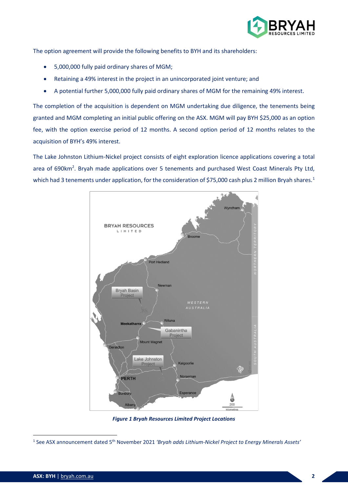

The option agreement will provide the following benefits to BYH and its shareholders:

- 5,000,000 fully paid ordinary shares of MGM;
- Retaining a 49% interest in the project in an unincorporated joint venture; and
- A potential further 5,000,000 fully paid ordinary shares of MGM for the remaining 49% interest.

The completion of the acquisition is dependent on MGM undertaking due diligence, the tenements being granted and MGM completing an initial public offering on the ASX. MGM will pay BYH \$25,000 as an option fee, with the option exercise period of 12 months. A second option period of 12 months relates to the acquisition of BYH's 49% interest.

The Lake Johnston Lithium-Nickel project consists of eight exploration licence applications covering a total area of 690km<sup>2</sup>. Bryah made applications over 5 tenements and purchased West Coast Minerals Pty Ltd, which had 3 tenements under application, for the consideration of \$75,000 cash plus 2 million Bryah shares.<sup>[1](#page-1-0)</sup>



*Figure 1 Bryah Resources Limited Project Locations*

<span id="page-1-0"></span><sup>1</sup> See ASX announcement dated 5th November 2021 *'Bryah adds Lithium-Nickel Project to Energy Minerals Assets'*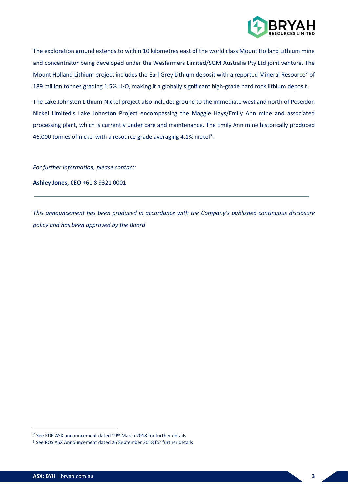

The exploration ground extends to within 10 kilometres east of the world class Mount Holland Lithium mine and concentrator being developed under the Wesfarmers Limited/SQM Australia Pty Ltd joint venture. The Mount Holland Lithium project includes the Earl Grey Lithium deposit with a reported Mineral Resource<sup>[2](#page-2-0)</sup> of 189 million tonnes grading 1.5% Li<sub>2</sub>O, making it a globally significant high-grade hard rock lithium deposit.

The Lake Johnston Lithium-Nickel project also includes ground to the immediate west and north of Poseidon Nickel Limited's Lake Johnston Project encompassing the Maggie Hays/Emily Ann mine and associated processing plant, which is currently under care and maintenance. The Emily Ann mine historically produced 46,000 tonnes of nickel with a resource grade averaging 4.1% nickel<sup>[3](#page-2-1)</sup>.

*For further information, please contact:* 

**Ashley Jones, CEO** +61 8 9321 0001

*This announcement has been produced in accordance with the Company's published continuous disclosure policy and has been approved by the Board*

<span id="page-2-0"></span> $2$  See KDR ASX announcement dated 19th March 2018 for further details

<span id="page-2-1"></span><sup>3</sup> See POS ASX Announcement dated 26 September 2018 for further details